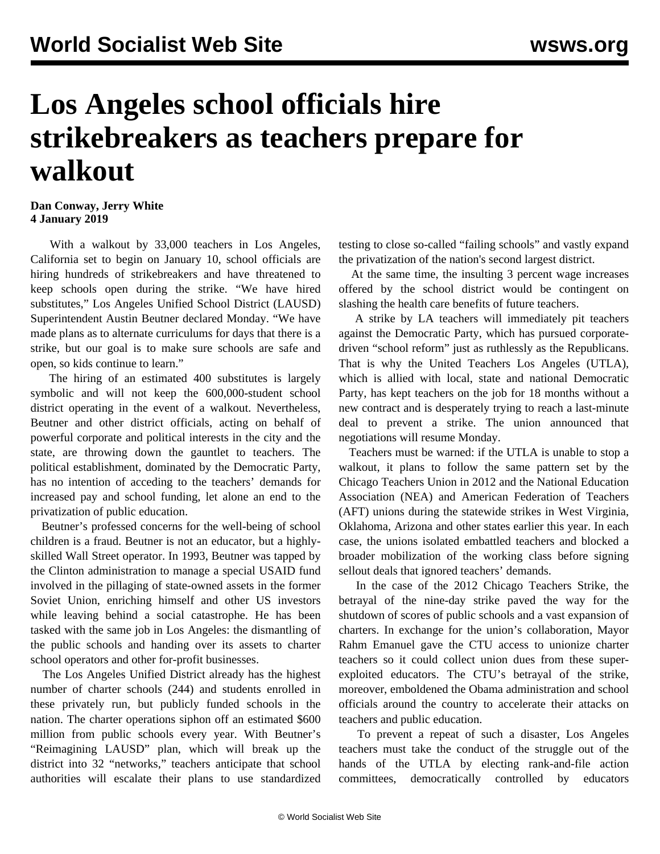## **Los Angeles school officials hire strikebreakers as teachers prepare for walkout**

## **Dan Conway, Jerry White 4 January 2019**

 With a walkout by 33,000 teachers in Los Angeles, California set to begin on January 10, school officials are hiring hundreds of strikebreakers and have threatened to keep schools open during the strike. "We have hired substitutes," Los Angeles Unified School District (LAUSD) Superintendent Austin Beutner declared Monday. "We have made plans as to alternate curriculums for days that there is a strike, but our goal is to make sure schools are safe and open, so kids continue to learn."

 The hiring of an estimated 400 substitutes is largely symbolic and will not keep the 600,000-student school district operating in the event of a walkout. Nevertheless, Beutner and other district officials, acting on behalf of powerful corporate and political interests in the city and the state, are throwing down the gauntlet to teachers. The political establishment, dominated by the Democratic Party, has no intention of acceding to the teachers' demands for increased pay and school funding, let alone an end to the privatization of public education.

 Beutner's professed concerns for the well-being of school children is a fraud. Beutner is not an educator, but a highlyskilled Wall Street operator. In 1993, Beutner was tapped by the Clinton administration to manage a special USAID fund involved in the pillaging of state-owned assets in the former Soviet Union, enriching himself and other US investors while leaving behind a social catastrophe. He has been tasked with the same job in Los Angeles: the dismantling of the public schools and handing over its assets to charter school operators and other for-profit businesses.

 The Los Angeles Unified District already has the highest number of charter schools (244) and students enrolled in these privately run, but publicly funded schools in the nation. The charter operations siphon off an estimated \$600 million from public schools every year. With Beutner's "Reimagining LAUSD" plan, which will break up the district into 32 "networks," teachers anticipate that school authorities will escalate their plans to use standardized testing to close so-called "failing schools" and vastly expand the privatization of the nation's second largest district.

 At the same time, the insulting 3 percent wage increases offered by the school district would be contingent on slashing the health care benefits of future teachers.

 A strike by LA teachers will immediately pit teachers against the Democratic Party, which has pursued corporatedriven "school reform" just as ruthlessly as the Republicans. That is why the United Teachers Los Angeles (UTLA), which is allied with local, state and national Democratic Party, has kept teachers on the job for 18 months without a new contract and is desperately trying to reach a last-minute deal to prevent a strike. The union announced that negotiations will resume Monday.

 Teachers must be warned: if the UTLA is unable to stop a walkout, it plans to follow the same pattern set by the Chicago Teachers Union in 2012 and the National Education Association (NEA) and American Federation of Teachers (AFT) unions during the statewide strikes in West Virginia, Oklahoma, Arizona and other states earlier this year. In each case, the unions isolated embattled teachers and blocked a broader mobilization of the working class before signing sellout deals that ignored teachers' demands.

 In the case of the [2012 Chicago Teachers Strike](/en/articles/2012/09/chic-s21.html), the betrayal of the nine-day strike paved the way for the shutdown of scores of public schools and a vast expansion of charters. In exchange for the union's collaboration, Mayor Rahm Emanuel gave the CTU access to unionize charter teachers so it could collect union dues from these superexploited educators. The CTU's betrayal of the strike, moreover, emboldened the Obama administration and school officials around the country to accelerate their attacks on teachers and public education.

 To prevent a repeat of such a disaster, Los Angeles teachers must take the conduct of the struggle out of the hands of the UTLA by electing rank-and-file action committees, democratically controlled by educators